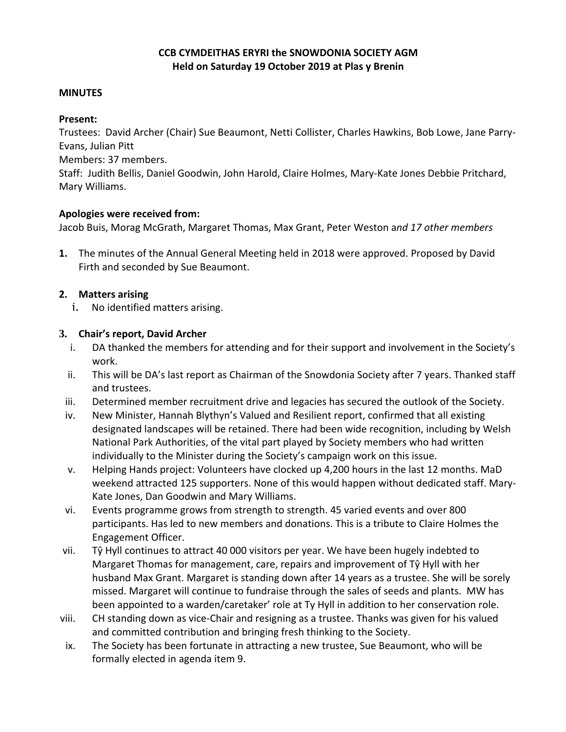### **CCB CYMDEITHAS ERYRI the SNOWDONIA SOCIETY AGM Held on Saturday 19 October 2019 at Plas y Brenin**

#### **MINUTES**

#### **Present:**

Trustees: David Archer (Chair) Sue Beaumont, Netti Collister, Charles Hawkins, Bob Lowe, Jane Parry-Evans, Julian Pitt

Members: 37 members.

Staff: Judith Bellis, Daniel Goodwin, John Harold, Claire Holmes, Mary-Kate Jones Debbie Pritchard, Mary Williams.

#### **Apologies were received from:**

Jacob Buis, Morag McGrath, Margaret Thomas, Max Grant, Peter Weston a*nd 17 other members*

**1.** The minutes of the Annual General Meeting held in 2018 were approved. Proposed by David Firth and seconded by Sue Beaumont.

### **2. Matters arising**

i. No identified matters arising.

### **3. Chair's report, David Archer**

- i. DA thanked the members for attending and for their support and involvement in the Society's work.
- ii. This will be DA's last report as Chairman of the Snowdonia Society after 7 years. Thanked staff and trustees.
- iii. Determined member recruitment drive and legacies has secured the outlook of the Society.
- iv. New Minister, Hannah Blythyn's Valued and Resilient report, confirmed that all existing designated landscapes will be retained. There had been wide recognition, including by Welsh National Park Authorities, of the vital part played by Society members who had written individually to the Minister during the Society's campaign work on this issue.
- v. Helping Hands project: Volunteers have clocked up 4,200 hours in the last 12 months. MaD weekend attracted 125 supporters. None of this would happen without dedicated staff. Mary-Kate Jones, Dan Goodwin and Mary Williams.
- vi. Events programme grows from strength to strength. 45 varied events and over 800 participants. Has led to new members and donations. This is a tribute to Claire Holmes the Engagement Officer.
- vii. Tŷ Hyll continues to attract 40 000 visitors per year. We have been hugely indebted to Margaret Thomas for management, care, repairs and improvement of Tŷ Hyll with her husband Max Grant. Margaret is standing down after 14 years as a trustee. She will be sorely missed. Margaret will continue to fundraise through the sales of seeds and plants. MW has been appointed to a warden/caretaker' role at Ty Hyll in addition to her conservation role.
- viii. CH standing down as vice-Chair and resigning as a trustee. Thanks was given for his valued and committed contribution and bringing fresh thinking to the Society.
- ix. The Society has been fortunate in attracting a new trustee, Sue Beaumont, who will be formally elected in agenda item 9.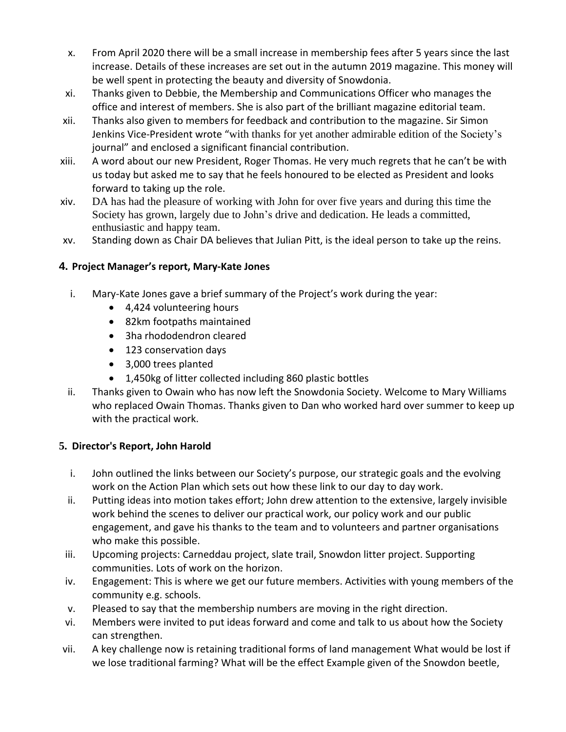- x. From April 2020 there will be a small increase in membership fees after 5 years since the last increase. Details of these increases are set out in the autumn 2019 magazine. This money will be well spent in protecting the beauty and diversity of Snowdonia.
- xi. Thanks given to Debbie, the Membership and Communications Officer who manages the office and interest of members. She is also part of the brilliant magazine editorial team.
- xii. Thanks also given to members for feedback and contribution to the magazine. Sir Simon Jenkins Vice-President wrote "with thanks for yet another admirable edition of the Society's journal" and enclosed a significant financial contribution.
- xiii. A word about our new President, Roger Thomas. He very much regrets that he can't be with us today but asked me to say that he feels honoured to be elected as President and looks forward to taking up the role.
- xiv. DA has had the pleasure of working with John for over five years and during this time the Society has grown, largely due to John's drive and dedication. He leads a committed, enthusiastic and happy team.
- xv. Standing down as Chair DA believes that Julian Pitt, is the ideal person to take up the reins.

### **4. Project Manager's report, Mary-Kate Jones**

- i. Mary-Kate Jones gave a brief summary of the Project's work during the year:
	- 4,424 volunteering hours
	- 82km footpaths maintained
	- 3ha rhododendron cleared
	- 123 conservation days
	- 3,000 trees planted
	- 1,450kg of litter collected including 860 plastic bottles
- ii. Thanks given to Owain who has now left the Snowdonia Society. Welcome to Mary Williams who replaced Owain Thomas. Thanks given to Dan who worked hard over summer to keep up with the practical work.

### **5. Director's Report, John Harold**

- i. John outlined the links between our Society's purpose, our strategic goals and the evolving work on the Action Plan which sets out how these link to our day to day work.
- ii. Putting ideas into motion takes effort; John drew attention to the extensive, largely invisible work behind the scenes to deliver our practical work, our policy work and our public engagement, and gave his thanks to the team and to volunteers and partner organisations who make this possible.
- iii. Upcoming projects: Carneddau project, slate trail, Snowdon litter project. Supporting communities. Lots of work on the horizon.
- iv. Engagement: This is where we get our future members. Activities with young members of the community e.g. schools.
- v. Pleased to say that the membership numbers are moving in the right direction.
- vi. Members were invited to put ideas forward and come and talk to us about how the Society can strengthen.
- vii. A key challenge now is retaining traditional forms of land management What would be lost if we lose traditional farming? What will be the effect Example given of the Snowdon beetle,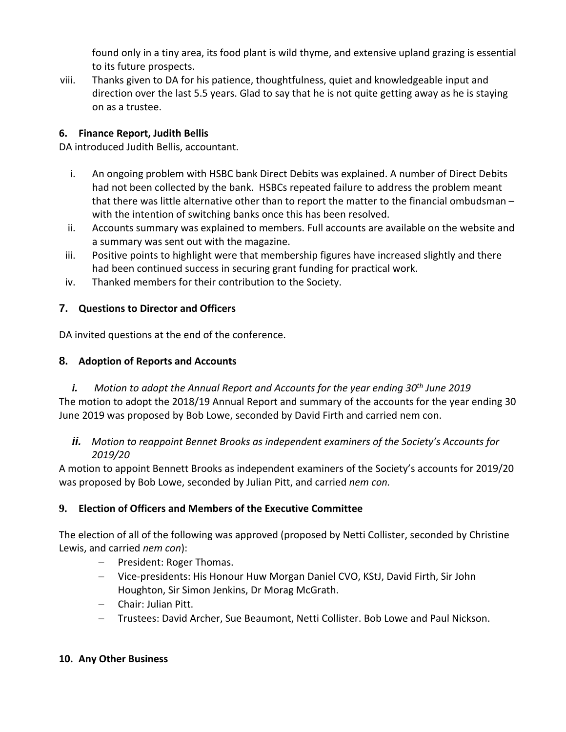found only in a tiny area, its food plant is wild thyme, and extensive upland grazing is essential to its future prospects.

viii. Thanks given to DA for his patience, thoughtfulness, quiet and knowledgeable input and direction over the last 5.5 years. Glad to say that he is not quite getting away as he is staying on as a trustee.

## **6. Finance Report, Judith Bellis**

DA introduced Judith Bellis, accountant.

- i. An ongoing problem with HSBC bank Direct Debits was explained. A number of Direct Debits had not been collected by the bank. HSBCs repeated failure to address the problem meant that there was little alternative other than to report the matter to the financial ombudsman – with the intention of switching banks once this has been resolved.
- ii. Accounts summary was explained to members. Full accounts are available on the website and a summary was sent out with the magazine.
- iii. Positive points to highlight were that membership figures have increased slightly and there had been continued success in securing grant funding for practical work.
- iv. Thanked members for their contribution to the Society.

# **7. Questions to Director and Officers**

DA invited questions at the end of the conference.

# **8. Adoption of Reports and Accounts**

# *i. Motion to adopt the Annual Report and Accounts for the year ending 30th June 2019* The motion to adopt the 2018/19 Annual Report and summary of the accounts for the year ending 30 June 2019 was proposed by Bob Lowe, seconded by David Firth and carried nem con.

# *ii. Motion to reappoint Bennet Brooks as independent examiners of the Society's Accounts for 2019/20*

A motion to appoint Bennett Brooks as independent examiners of the Society's accounts for 2019/20 was proposed by Bob Lowe, seconded by Julian Pitt, and carried *nem con.*

# **9. Election of Officers and Members of the Executive Committee**

The election of all of the following was approved (proposed by Netti Collister, seconded by Christine Lewis, and carried *nem con*):

- − President: Roger Thomas.
- − Vice-presidents: His Honour Huw Morgan Daniel CVO, KStJ, David Firth, Sir John Houghton, Sir Simon Jenkins, Dr Morag McGrath.
- − Chair: Julian Pitt.
- − Trustees: David Archer, Sue Beaumont, Netti Collister. Bob Lowe and Paul Nickson.

## **10. Any Other Business**